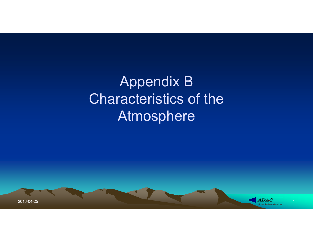Appendix B Characteristics of the Atmosphere

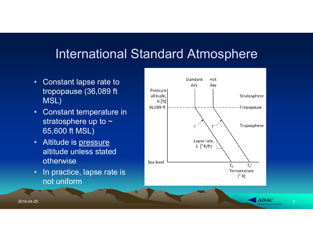#### International Standard Atmosphere

- Constant lapse rate to MSL)
- Constant temperature in **EXADER** stratosphere up to  $\sim$ 65,600 ft MSL)
- Altitude is pressure altitude unless stated otherwise
- In practice, lapse rate is not uniform

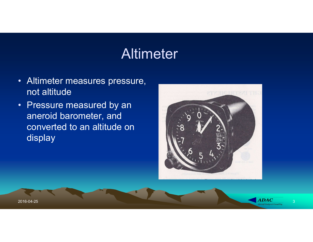## **Altimeter**

- Altimeter measures pressure, not altitude
- Pressure measured by an aneroid barometer, and converted to an altitude on display





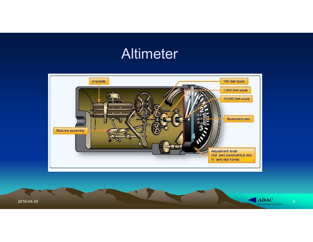# **Altimeter**



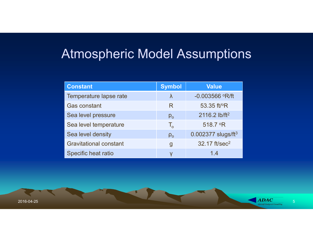#### Atmospheric Model Assumptions

| <b>Atmospheric Model Assumptions</b>      |                            |                                            |
|-------------------------------------------|----------------------------|--------------------------------------------|
|                                           |                            |                                            |
| <b>Constant</b><br>Temperature lapse rate | <b>Symbol</b><br>$\lambda$ | <b>Value</b><br>$-0.003566$ $\degree$ R/ft |
| <b>Gas constant</b>                       | R                          | 53.35 ft/°R                                |
| Sea level pressure                        | $p_{o}$                    | 2116.2 lb/ft <sup>2</sup>                  |
| Sea level temperature                     | $T_{o}$                    | 518.7 °R                                   |
| Sea level density                         | $\rho_{o}$                 | $0.002377$ slugs/ft <sup>3</sup>           |
| <b>Gravitational constant</b>             | $\mathbf{g}$               | 32.17 ft/sec <sup>2</sup>                  |
| Specific heat ratio                       | Y                          | 1.4                                        |

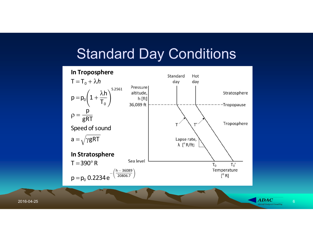#### Standard Day Conditions

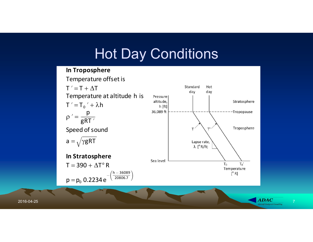# Hot Day Conditions

Standard

Hot

#### In Troposphere Temperature offset is  $T' = T + \Delta T$

day day Temperature at altitude h is Pressure  $T' = T_0' + \lambda h$ <br>  $\beta' = \frac{p}{gRT'}$ <br>  $\beta \text{ speed of sound}$ <br>  $\alpha = \sqrt{\gamma gRT}$ <br>
In Stratosphere<br>  $T = 390 + \Delta T^{\circ} R$ <br>  $p = p_0 .0.2234 e^{-\left(\frac{h-36000}{2000007}\right)}$ <br>  $p = p_0 .0.2234 e^{-\left(\frac{h-36000}{2000007}\right)}$  $T' = T_0' + \lambda h$ p  $\rho' =$ gRT Speed of sound  $a = \sqrt{\gamma gRT}$ In Stratosphere  $T = 390 + \Delta T^{\circ} R$  $h - 36089$ 20806.7

 $p = p_0 0.2234 e^{-}$